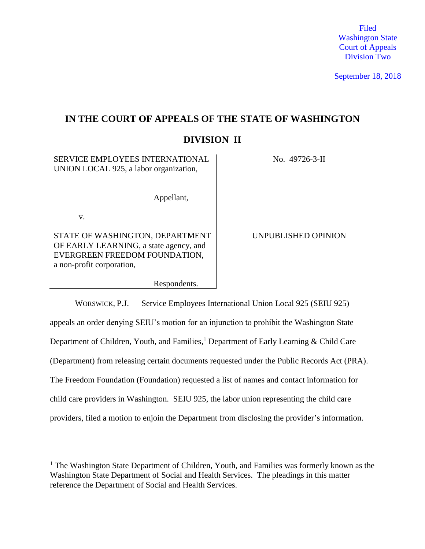Filed Washington State Court of Appeals Division Two

September 18, 2018

# **IN THE COURT OF APPEALS OF THE STATE OF WASHINGTON**

# **DIVISION II**

| <b>SERVICE EMPLOYEES INTERNATIONAL</b><br>UNION LOCAL 925, a labor organization,                                                        | No. 49726-3-II      |
|-----------------------------------------------------------------------------------------------------------------------------------------|---------------------|
| Appellant,                                                                                                                              |                     |
| V.                                                                                                                                      |                     |
| STATE OF WASHINGTON, DEPARTMENT<br>OF EARLY LEARNING, a state agency, and<br>EVERGREEN FREEDOM FOUNDATION,<br>a non-profit corporation, | UNPUBLISHED OPINION |
| Respondents.                                                                                                                            |                     |

WORSWICK, P.J. — Service Employees International Union Local 925 (SEIU 925) appeals an order denying SEIU's motion for an injunction to prohibit the Washington State Department of Children, Youth, and Families,<sup>1</sup> Department of Early Learning & Child Care (Department) from releasing certain documents requested under the Public Records Act (PRA). The Freedom Foundation (Foundation) requested a list of names and contact information for child care providers in Washington. SEIU 925, the labor union representing the child care providers, filed a motion to enjoin the Department from disclosing the provider's information.

 $\overline{a}$ 

<sup>&</sup>lt;sup>1</sup> The Washington State Department of Children, Youth, and Families was formerly known as the Washington State Department of Social and Health Services. The pleadings in this matter reference the Department of Social and Health Services.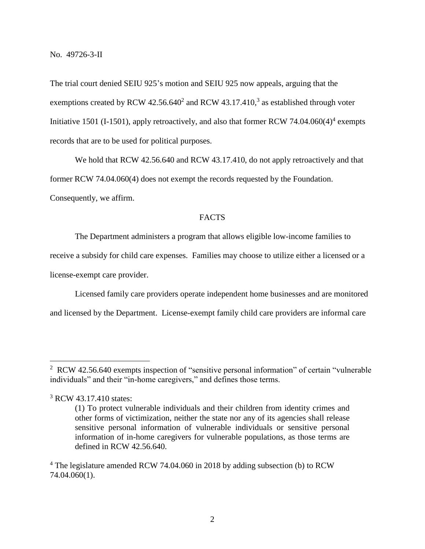The trial court denied SEIU 925's motion and SEIU 925 now appeals, arguing that the exemptions created by RCW  $42.56.640^2$  and RCW  $43.17.410$ ,<sup>3</sup> as established through voter Initiative 1501 (I-1501), apply retroactively, and also that former RCW 74.04.060(4)<sup>4</sup> exempts records that are to be used for political purposes.

We hold that RCW 42.56.640 and RCW 43.17.410, do not apply retroactively and that former RCW 74.04.060(4) does not exempt the records requested by the Foundation. Consequently, we affirm.

# **FACTS**

The Department administers a program that allows eligible low-income families to

receive a subsidy for child care expenses. Families may choose to utilize either a licensed or a license-exempt care provider.

Licensed family care providers operate independent home businesses and are monitored and licensed by the Department. License-exempt family child care providers are informal care

 $\overline{a}$ 

<sup>&</sup>lt;sup>2</sup> RCW 42.56.640 exempts inspection of "sensitive personal information" of certain "vulnerable individuals" and their "in-home caregivers," and defines those terms.

<sup>&</sup>lt;sup>3</sup> RCW 43.17.410 states:

<sup>(1)</sup> To protect vulnerable individuals and their children from identity crimes and other forms of victimization, neither the state nor any of its agencies shall release sensitive personal information of vulnerable individuals or sensitive personal information of in-home caregivers for vulnerable populations, as those terms are defined in RCW 42.56.640.

<sup>&</sup>lt;sup>4</sup> The legislature amended RCW 74.04.060 in 2018 by adding subsection (b) to RCW 74.04.060(1).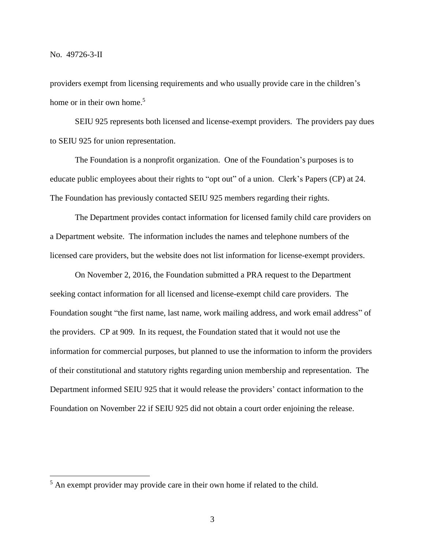providers exempt from licensing requirements and who usually provide care in the children's home or in their own home.<sup>5</sup>

SEIU 925 represents both licensed and license-exempt providers. The providers pay dues to SEIU 925 for union representation.

The Foundation is a nonprofit organization. One of the Foundation's purposes is to educate public employees about their rights to "opt out" of a union. Clerk's Papers (CP) at 24. The Foundation has previously contacted SEIU 925 members regarding their rights.

The Department provides contact information for licensed family child care providers on a Department website. The information includes the names and telephone numbers of the licensed care providers, but the website does not list information for license-exempt providers.

On November 2, 2016, the Foundation submitted a PRA request to the Department seeking contact information for all licensed and license-exempt child care providers. The Foundation sought "the first name, last name, work mailing address, and work email address" of the providers. CP at 909. In its request, the Foundation stated that it would not use the information for commercial purposes, but planned to use the information to inform the providers of their constitutional and statutory rights regarding union membership and representation. The Department informed SEIU 925 that it would release the providers' contact information to the Foundation on November 22 if SEIU 925 did not obtain a court order enjoining the release.

<sup>&</sup>lt;sup>5</sup> An exempt provider may provide care in their own home if related to the child.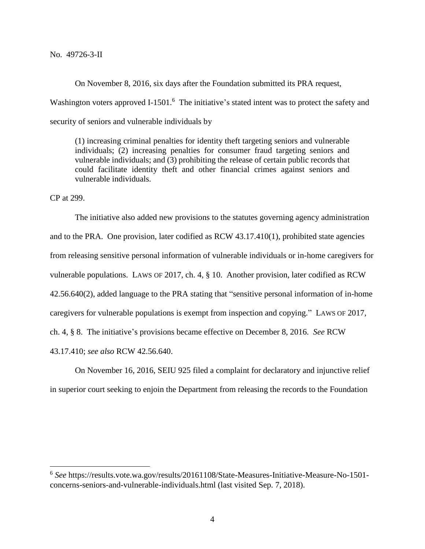No. 49726-3-II

On November 8, 2016, six days after the Foundation submitted its PRA request,

Washington voters approved I-1501.<sup>6</sup> The initiative's stated intent was to protect the safety and security of seniors and vulnerable individuals by

(1) increasing criminal penalties for identity theft targeting seniors and vulnerable individuals; (2) increasing penalties for consumer fraud targeting seniors and vulnerable individuals; and (3) prohibiting the release of certain public records that could facilitate identity theft and other financial crimes against seniors and vulnerable individuals.

CP at 299.

 $\overline{a}$ 

The initiative also added new provisions to the statutes governing agency administration and to the PRA. One provision, later codified as RCW 43.17.410(1), prohibited state agencies from releasing sensitive personal information of vulnerable individuals or in-home caregivers for vulnerable populations. LAWS OF 2017, ch. 4, § 10. Another provision, later codified as RCW 42.56.640(2), added language to the PRA stating that "sensitive personal information of in-home caregivers for vulnerable populations is exempt from inspection and copying." LAWS OF 2017, ch. 4, § 8. The initiative's provisions became effective on December 8, 2016. *See* RCW 43.17.410; *see also* RCW 42.56.640.

On November 16, 2016, SEIU 925 filed a complaint for declaratory and injunctive relief in superior court seeking to enjoin the Department from releasing the records to the Foundation

<sup>6</sup> *See* https://results.vote.wa.gov/results/20161108/State-Measures-Initiative-Measure-No-1501 concerns-seniors-and-vulnerable-individuals.html (last visited Sep. 7, 2018).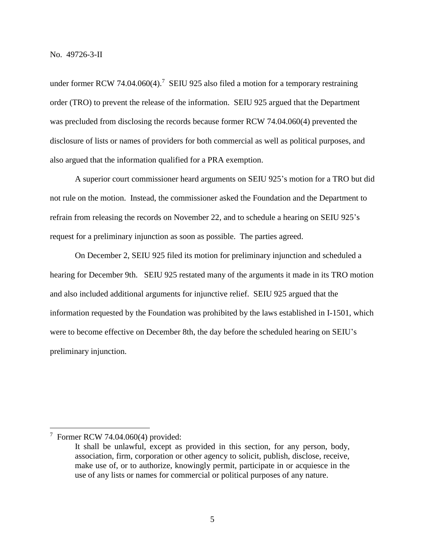under former RCW 74.04.060(4).<sup>7</sup> SEIU 925 also filed a motion for a temporary restraining order (TRO) to prevent the release of the information. SEIU 925 argued that the Department was precluded from disclosing the records because former RCW 74.04.060(4) prevented the disclosure of lists or names of providers for both commercial as well as political purposes, and also argued that the information qualified for a PRA exemption.

A superior court commissioner heard arguments on SEIU 925's motion for a TRO but did not rule on the motion. Instead, the commissioner asked the Foundation and the Department to refrain from releasing the records on November 22, and to schedule a hearing on SEIU 925's request for a preliminary injunction as soon as possible. The parties agreed.

On December 2, SEIU 925 filed its motion for preliminary injunction and scheduled a hearing for December 9th. SEIU 925 restated many of the arguments it made in its TRO motion and also included additional arguments for injunctive relief. SEIU 925 argued that the information requested by the Foundation was prohibited by the laws established in I-1501, which were to become effective on December 8th, the day before the scheduled hearing on SEIU's preliminary injunction.

 $\overline{a}$ 

 $7$  Former RCW 74.04.060(4) provided:

It shall be unlawful, except as provided in this section, for any person, body, association, firm, corporation or other agency to solicit, publish, disclose, receive, make use of, or to authorize, knowingly permit, participate in or acquiesce in the use of any lists or names for commercial or political purposes of any nature.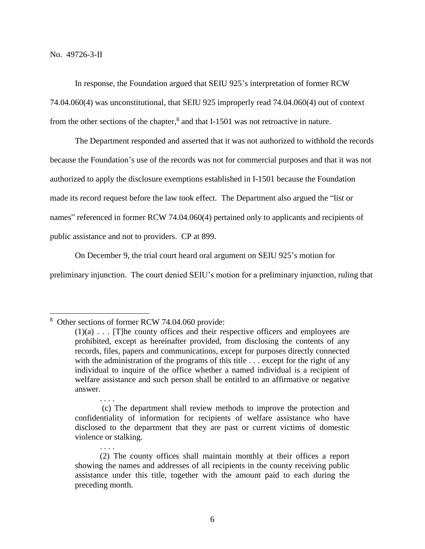In response, the Foundation argued that SEIU 925's interpretation of former RCW 74.04.060(4) was unconstitutional, that SEIU 925 improperly read 74.04.060(4) out of context from the other sections of the chapter,<sup>8</sup> and that I-1501 was not retroactive in nature.

The Department responded and asserted that it was not authorized to withhold the records because the Foundation's use of the records was not for commercial purposes and that it was not authorized to apply the disclosure exemptions established in I-1501 because the Foundation made its record request before the law took effect. The Department also argued the "list or names" referenced in former RCW 74.04.060(4) pertained only to applicants and recipients of public assistance and not to providers. CP at 899.

On December 9, the trial court heard oral argument on SEIU 925's motion for

preliminary injunction. The court denied SEIU's motion for a preliminary injunction, ruling that

. . . .

. . . .

<sup>&</sup>lt;sup>8</sup> Other sections of former RCW 74.04.060 provide:

 $(1)(a)$ ... [T]he county offices and their respective officers and employees are prohibited, except as hereinafter provided, from disclosing the contents of any records, files, papers and communications, except for purposes directly connected with the administration of the programs of this title . . . except for the right of any individual to inquire of the office whether a named individual is a recipient of welfare assistance and such person shall be entitled to an affirmative or negative answer.

<sup>(</sup>c) The department shall review methods to improve the protection and confidentiality of information for recipients of welfare assistance who have disclosed to the department that they are past or current victims of domestic violence or stalking.

<sup>(2)</sup> The county offices shall maintain monthly at their offices a report showing the names and addresses of all recipients in the county receiving public assistance under this title, together with the amount paid to each during the preceding month.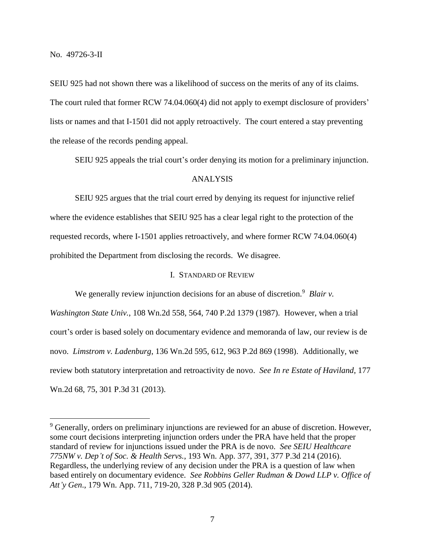SEIU 925 had not shown there was a likelihood of success on the merits of any of its claims. The court ruled that former RCW 74.04.060(4) did not apply to exempt disclosure of providers' lists or names and that I-1501 did not apply retroactively. The court entered a stay preventing the release of the records pending appeal.

SEIU 925 appeals the trial court's order denying its motion for a preliminary injunction.

# ANALYSIS

SEIU 925 argues that the trial court erred by denying its request for injunctive relief where the evidence establishes that SEIU 925 has a clear legal right to the protection of the requested records, where I-1501 applies retroactively, and where former RCW 74.04.060(4) prohibited the Department from disclosing the records. We disagree.

## I. STANDARD OF REVIEW

We generally review injunction decisions for an abuse of discretion.<sup>9</sup> *Blair v. Washington State Univ.*, 108 Wn.2d 558, 564, 740 P.2d 1379 (1987). However, when a trial court's order is based solely on documentary evidence and memoranda of law, our review is de novo. *Limstrom v. Ladenburg*, 136 Wn.2d 595, 612, 963 P.2d 869 (1998). Additionally, we review both statutory interpretation and retroactivity de novo. *See In re Estate of Haviland*, 177 Wn.2d 68, 75, 301 P.3d 31 (2013).

<sup>&</sup>lt;sup>9</sup> Generally, orders on preliminary injunctions are reviewed for an abuse of discretion. However, some court decisions interpreting injunction orders under the PRA have held that the proper standard of review for injunctions issued under the PRA is de novo. *See SEIU Healthcare 775NW v. Dep't of Soc. & Health Servs.*, 193 Wn. App. 377, 391, 377 P.3d 214 (2016). Regardless, the underlying review of any decision under the PRA is a question of law when based entirely on documentary evidence. *See Robbins Geller Rudman & Dowd LLP v. Office of Att'y Gen*., 179 Wn. App. 711, 719-20, 328 P.3d 905 (2014).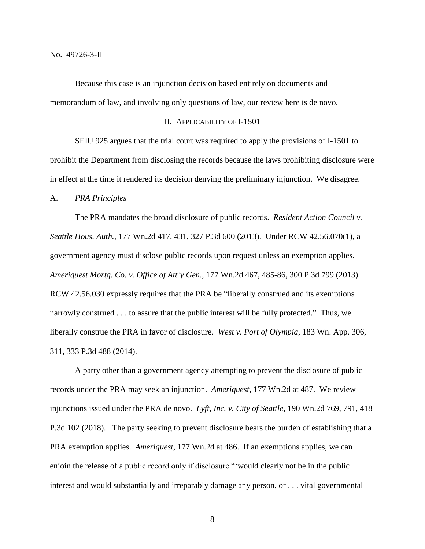Because this case is an injunction decision based entirely on documents and memorandum of law, and involving only questions of law, our review here is de novo.

### II. APPLICABILITY OF I-1501

SEIU 925 argues that the trial court was required to apply the provisions of I-1501 to prohibit the Department from disclosing the records because the laws prohibiting disclosure were in effect at the time it rendered its decision denying the preliminary injunction. We disagree.

#### A. *PRA Principles*

The PRA mandates the broad disclosure of public records. *Resident Action Council v. Seattle Hous. Auth.*, 177 Wn.2d 417, 431, 327 P.3d 600 (2013). Under RCW 42.56.070(1), a government agency must disclose public records upon request unless an exemption applies. *Ameriquest Mortg. Co. v. Office of Att'y Gen*., 177 Wn.2d 467, 485-86, 300 P.3d 799 (2013). RCW 42.56.030 expressly requires that the PRA be "liberally construed and its exemptions narrowly construed . . . to assure that the public interest will be fully protected." Thus, we liberally construe the PRA in favor of disclosure. *West v. Port of Olympia*, 183 Wn. App. 306, 311, 333 P.3d 488 (2014).

A party other than a government agency attempting to prevent the disclosure of public records under the PRA may seek an injunction. *Ameriquest*, 177 Wn.2d at 487. We review injunctions issued under the PRA de novo. *Lyft, Inc. v. City of Seattle*, 190 Wn.2d 769, 791, 418 P.3d 102 (2018). The party seeking to prevent disclosure bears the burden of establishing that a PRA exemption applies. *Ameriquest*, 177 Wn.2d at 486. If an exemptions applies, we can enjoin the release of a public record only if disclosure "'would clearly not be in the public interest and would substantially and irreparably damage any person, or . . . vital governmental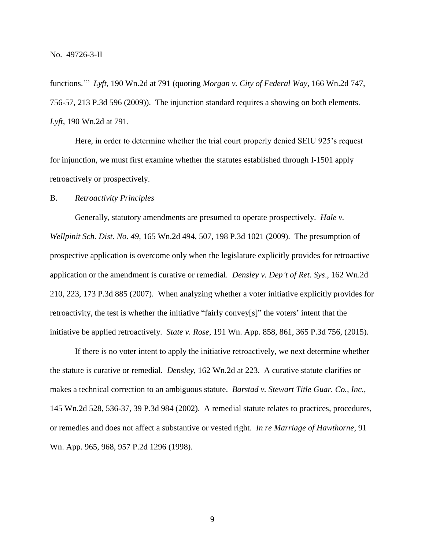functions.'" *Lyft*, 190 Wn.2d at 791 (quoting *Morgan v. City of Federal Way*, 166 Wn.2d 747, 756-57, 213 P.3d 596 (2009)). The injunction standard requires a showing on both elements. *Lyft*, 190 Wn.2d at 791.

Here, in order to determine whether the trial court properly denied SEIU 925's request for injunction, we must first examine whether the statutes established through I-1501 apply retroactively or prospectively.

### B. *Retroactivity Principles*

Generally, statutory amendments are presumed to operate prospectively. *Hale v. Wellpinit Sch. Dist. No*. *49*, 165 Wn.2d 494, 507, 198 P.3d 1021 (2009). The presumption of prospective application is overcome only when the legislature explicitly provides for retroactive application or the amendment is curative or remedial. *Densley v. Dep't of Ret. Sys*., 162 Wn.2d 210, 223, 173 P.3d 885 (2007). When analyzing whether a voter initiative explicitly provides for retroactivity, the test is whether the initiative "fairly convey[s]" the voters' intent that the initiative be applied retroactively. *State v. Rose*, 191 Wn. App. 858, 861, 365 P.3d 756, (2015).

If there is no voter intent to apply the initiative retroactively, we next determine whether the statute is curative or remedial. *Densley*, 162 Wn.2d at 223. A curative statute clarifies or makes a technical correction to an ambiguous statute. *Barstad v. Stewart Title Guar. Co., Inc.*, 145 Wn.2d 528, 536-37, 39 P.3d 984 (2002). A remedial statute relates to practices, procedures, or remedies and does not affect a substantive or vested right. *In re Marriage of Hawthorne*, 91 Wn. App. 965, 968, 957 P.2d 1296 (1998).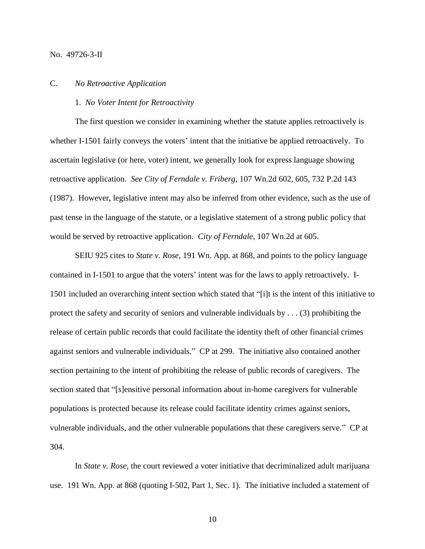No. 49726-3-II

#### C. *No Retroactive Application*

### 1. *No Voter Intent for Retroactivity*

The first question we consider in examining whether the statute applies retroactively is whether I-1501 fairly conveys the voters' intent that the initiative be applied retroactively. To ascertain legislative (or here, voter) intent, we generally look for express language showing retroactive application. *See City of Ferndale v. Friberg*, 107 Wn.2d 602, 605, 732 P.2d 143 (1987). However, legislative intent may also be inferred from other evidence, such as the use of past tense in the language of the statute, or a legislative statement of a strong public policy that would be served by retroactive application. *City of Ferndale*, 107 Wn.2d at 605.

SEIU 925 cites to *State v. Rose*, 191 Wn. App. at 868, and points to the policy language contained in I-1501 to argue that the voters' intent was for the laws to apply retroactively. I-1501 included an overarching intent section which stated that "[i]t is the intent of this initiative to protect the safety and security of seniors and vulnerable individuals by . . . (3) prohibiting the release of certain public records that could facilitate the identity theft of other financial crimes against seniors and vulnerable individuals." CP at 299. The initiative also contained another section pertaining to the intent of prohibiting the release of public records of caregivers. The section stated that "[s]ensitive personal information about in-home caregivers for vulnerable populations is protected because its release could facilitate identity crimes against seniors, vulnerable individuals, and the other vulnerable populations that these caregivers serve." CP at 304.

In *State v. Rose*, the court reviewed a voter initiative that decriminalized adult marijuana use. 191 Wn. App. at 868 (quoting I-502, Part 1, Sec. 1). The initiative included a statement of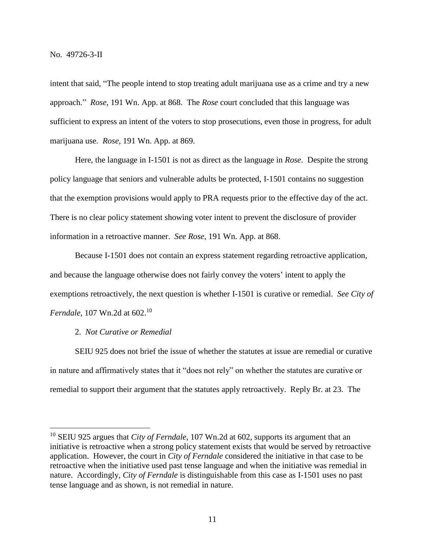intent that said, "The people intend to stop treating adult marijuana use as a crime and try a new approach." *Rose*, 191 Wn. App. at 868. The *Rose* court concluded that this language was sufficient to express an intent of the voters to stop prosecutions, even those in progress, for adult marijuana use. *Rose*, 191 Wn. App. at 869.

Here, the language in I-1501 is not as direct as the language in *Rose*. Despite the strong policy language that seniors and vulnerable adults be protected, I-1501 contains no suggestion that the exemption provisions would apply to PRA requests prior to the effective day of the act. There is no clear policy statement showing voter intent to prevent the disclosure of provider information in a retroactive manner. *See Rose*, 191 Wn. App. at 868.

Because I-1501 does not contain an express statement regarding retroactive application, and because the language otherwise does not fairly convey the voters' intent to apply the exemptions retroactively, the next question is whether I-1501 is curative or remedial. *See City of Ferndale*, 107 Wn.2d at 602.<sup>10</sup>

# 2. *Not Curative or Remedial*

 $\overline{a}$ 

SEIU 925 does not brief the issue of whether the statutes at issue are remedial or curative in nature and affirmatively states that it "does not rely" on whether the statutes are curative or remedial to support their argument that the statutes apply retroactively. Reply Br. at 23. The

<sup>10</sup> SEIU 925 argues that *City of Ferndale*, 107 Wn.2d at 602, supports its argument that an initiative is retroactive when a strong policy statement exists that would be served by retroactive application. However, the court in *City of Ferndale* considered the initiative in that case to be retroactive when the initiative used past tense language and when the initiative was remedial in nature. Accordingly, *City of Ferndale* is distinguishable from this case as I-1501 uses no past tense language and as shown, is not remedial in nature.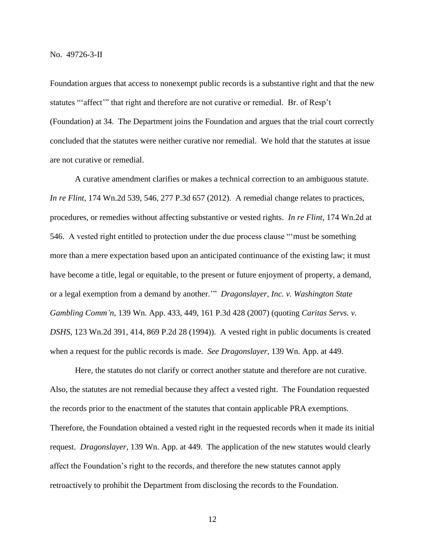Foundation argues that access to nonexempt public records is a substantive right and that the new statutes "'affect'" that right and therefore are not curative or remedial. Br. of Resp't (Foundation) at 34. The Department joins the Foundation and argues that the trial court correctly concluded that the statutes were neither curative nor remedial. We hold that the statutes at issue are not curative or remedial.

A curative amendment clarifies or makes a technical correction to an ambiguous statute. *In re Flint*, 174 Wn.2d 539, 546, 277 P.3d 657 (2012). A remedial change relates to practices, procedures, or remedies without affecting substantive or vested rights. *In re Flint*, 174 Wn.2d at 546. A vested right entitled to protection under the due process clause "'must be something more than a mere expectation based upon an anticipated continuance of the existing law; it must have become a title, legal or equitable, to the present or future enjoyment of property, a demand, or a legal exemption from a demand by another.'" *Dragonslayer, Inc. v. Washington State Gambling Comm'n*, 139 Wn. App. 433, 449, 161 P.3d 428 (2007) (quoting *Caritas [Servs. v.](https://1.next.westlaw.com/Link/Document/FullText?findType=Y&serNum=1994057436&pubNum=0000661&originatingDoc=Ied0ba5c0241c11dc8471eea21d4a0625&refType=RP&originationContext=document&transitionType=DocumentItem&contextData=(sc.Default))  DSHS*, [123 Wn.2d 391, 414, 869 P.2d 28 \(1994\)\)](https://1.next.westlaw.com/Link/Document/FullText?findType=Y&serNum=1994057436&pubNum=0000661&originatingDoc=Ied0ba5c0241c11dc8471eea21d4a0625&refType=RP&originationContext=document&transitionType=DocumentItem&contextData=(sc.Default)). A vested right in public documents is created when a request for the public records is made. *See Dragonslayer*, 139 Wn. App. at 449.

Here, the statutes do not clarify or correct another statute and therefore are not curative. Also, the statutes are not remedial because they affect a vested right. The Foundation requested the records prior to the enactment of the statutes that contain applicable PRA exemptions. Therefore, the Foundation obtained a vested right in the requested records when it made its initial request. *Dragonslayer*, 139 Wn. App. at 449. The application of the new statutes would clearly affect the Foundation's right to the records, and therefore the new statutes cannot apply retroactively to prohibit the Department from disclosing the records to the Foundation.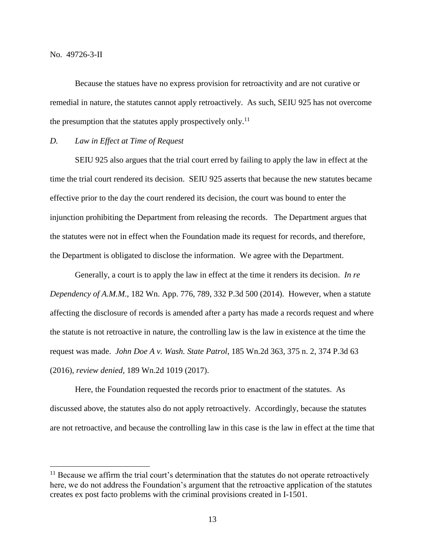No. 49726-3-II

 $\overline{a}$ 

Because the statues have no express provision for retroactivity and are not curative or remedial in nature, the statutes cannot apply retroactively. As such, SEIU 925 has not overcome the presumption that the statutes apply prospectively only.<sup>11</sup>

## *D. Law in Effect at Time of Request*

SEIU 925 also argues that the trial court erred by failing to apply the law in effect at the time the trial court rendered its decision. SEIU 925 asserts that because the new statutes became effective prior to the day the court rendered its decision, the court was bound to enter the injunction prohibiting the Department from releasing the records. The Department argues that the statutes were not in effect when the Foundation made its request for records, and therefore, the Department is obligated to disclose the information. We agree with the Department.

Generally, a court is to apply the law in effect at the time it renders its decision. *In re Dependency of A.M.M*., 182 Wn. App. 776, 789, 332 P.3d 500 (2014). However, when a statute affecting the disclosure of records is amended after a party has made a records request and where the statute is not retroactive in nature, the controlling law is the law in existence at the time the request was made. *John Doe A v. Wash. State Patrol*, 185 Wn.2d 363, 375 n. 2, 374 P.3d 63 (2016), *review denied*, 189 Wn.2d 1019 (2017).

Here, the Foundation requested the records prior to enactment of the statutes. As discussed above, the statutes also do not apply retroactively. Accordingly, because the statutes are not retroactive, and because the controlling law in this case is the law in effect at the time that

 $11$  Because we affirm the trial court's determination that the statutes do not operate retroactively here, we do not address the Foundation's argument that the retroactive application of the statutes creates ex post facto problems with the criminal provisions created in I-1501.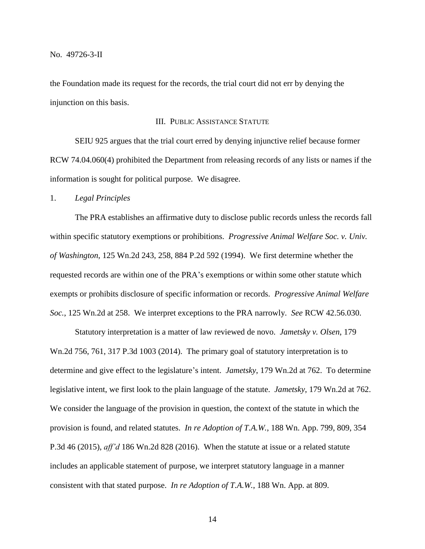the Foundation made its request for the records, the trial court did not err by denying the injunction on this basis.

## III. PUBLIC ASSISTANCE STATUTE

SEIU 925 argues that the trial court erred by denying injunctive relief because former RCW 74.04.060(4) prohibited the Department from releasing records of any lists or names if the information is sought for political purpose. We disagree.

#### 1. *Legal Principles*

The PRA establishes an affirmative duty to disclose public records unless the records fall within specific statutory exemptions or prohibitions. *Progressive Animal Welfare Soc. v. Univ. of Washington*, 125 Wn.2d 243, 258, 884 P.2d 592 (1994). We first determine whether the requested records are within one of the PRA's exemptions or within some other statute which exempts or prohibits disclosure of specific information or records. *Progressive Animal Welfare Soc.*, 125 Wn.2d at 258. We interpret exceptions to the PRA narrowly. *See* RCW 42.56.030.

Statutory interpretation is a matter of law reviewed de novo. *Jametsky v. Olsen*, 179 Wn.2d 756, 761, 317 P.3d 1003 (2014). The primary goal of statutory interpretation is to determine and give effect to the legislature's intent. *Jametsky*, 179 Wn.2d at 762. To determine legislative intent, we first look to the plain language of the statute. *Jametsky*, 179 Wn.2d at 762. We consider the language of the provision in question, the context of the statute in which the provision is found, and related statutes. *In re Adoption of T.A.W.*, 188 Wn. App. 799, 809, 354 P.3d 46 (2015), *aff'd* 186 Wn.2d 828 (2016). When the statute at issue or a related statute includes an applicable statement of purpose, we interpret statutory language in a manner consistent with that stated purpose. *In re Adoption of T.A.W.*, 188 Wn. App. at 809.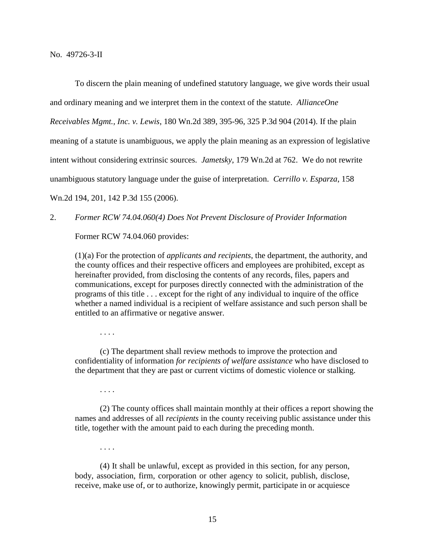To discern the plain meaning of undefined statutory language, we give words their usual and ordinary meaning and we interpret them in the context of the statute. *AllianceOne Receivables Mgmt., Inc. v. Lewis*, 180 Wn.2d 389, 395-96, 325 P.3d 904 (2014). If the plain meaning of a statute is unambiguous, we apply the plain meaning as an expression of legislative intent without considering extrinsic sources. *Jametsky*, 179 Wn.2d at 762. We do not rewrite unambiguous statutory language under the guise of interpretation. *Cerrillo v. Esparza*, 158 Wn.2d 194, 201, 142 P.3d 155 (2006).

2. *Former RCW 74.04.060(4) Does Not Prevent Disclosure of Provider Information*

Former RCW 74.04.060 provides:

(1)(a) For the protection of *applicants and recipients*, the department, the authority, and the county offices and their respective officers and employees are prohibited, except as hereinafter provided, from disclosing the contents of any records, files, papers and communications, except for purposes directly connected with the administration of the programs of this title . . . except for the right of any individual to inquire of the office whether a named individual is a recipient of welfare assistance and such person shall be entitled to an affirmative or negative answer.

. . . .

(c) The department shall review methods to improve the protection and confidentiality of information *for recipients of welfare assistance* who have disclosed to the department that they are past or current victims of domestic violence or stalking.

. . . .

(2) The county offices shall maintain monthly at their offices a report showing the names and addresses of all *recipients* in the county receiving public assistance under this title, together with the amount paid to each during the preceding month.

. . . .

(4) It shall be unlawful, except as provided in this section, for any person, body, association, firm, corporation or other agency to solicit, publish, disclose, receive, make use of, or to authorize, knowingly permit, participate in or acquiesce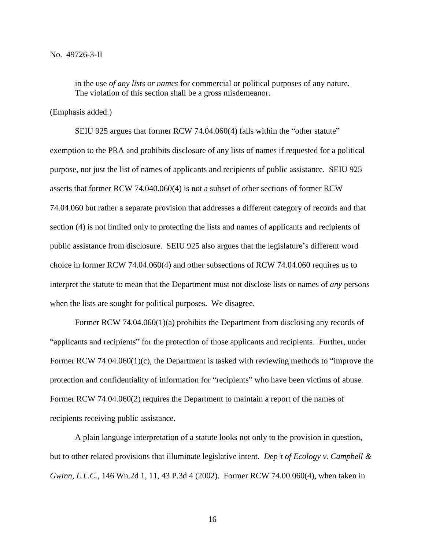in the use *of any lists or names* for commercial or political purposes of any nature. The violation of this section shall be a gross misdemeanor.

### (Emphasis added.)

SEIU 925 argues that former RCW 74.04.060(4) falls within the "other statute" exemption to the PRA and prohibits disclosure of any lists of names if requested for a political purpose, not just the list of names of applicants and recipients of public assistance. SEIU 925 asserts that former RCW 74.040.060(4) is not a subset of other sections of former RCW 74.04.060 but rather a separate provision that addresses a different category of records and that section (4) is not limited only to protecting the lists and names of applicants and recipients of public assistance from disclosure. SEIU 925 also argues that the legislature's different word choice in former RCW 74.04.060(4) and other subsections of RCW 74.04.060 requires us to interpret the statute to mean that the Department must not disclose lists or names of *any* persons when the lists are sought for political purposes. We disagree.

Former RCW 74.04.060(1)(a) prohibits the Department from disclosing any records of "applicants and recipients" for the protection of those applicants and recipients. Further, under Former RCW 74.04.060(1)(c), the Department is tasked with reviewing methods to "improve the protection and confidentiality of information for "recipients" who have been victims of abuse. Former RCW 74.04.060(2) requires the Department to maintain a report of the names of recipients receiving public assistance.

A plain language interpretation of a statute looks not only to the provision in question, but to other related provisions that illuminate legislative intent. *Dep't of Ecology v. Campbell & Gwinn, L.L.C.*, 146 Wn.2d 1, 11, 43 P.3d 4 (2002). Former RCW 74.00.060(4), when taken in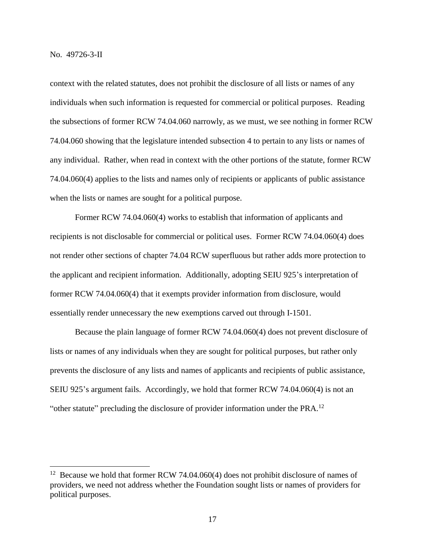context with the related statutes, does not prohibit the disclosure of all lists or names of any individuals when such information is requested for commercial or political purposes. Reading the subsections of former RCW 74.04.060 narrowly, as we must, we see nothing in former RCW 74.04.060 showing that the legislature intended subsection 4 to pertain to any lists or names of any individual. Rather, when read in context with the other portions of the statute, former RCW 74.04.060(4) applies to the lists and names only of recipients or applicants of public assistance when the lists or names are sought for a political purpose.

Former RCW 74.04.060(4) works to establish that information of applicants and recipients is not disclosable for commercial or political uses. Former RCW 74.04.060(4) does not render other sections of chapter 74.04 RCW superfluous but rather adds more protection to the applicant and recipient information. Additionally, adopting SEIU 925's interpretation of former RCW 74.04.060(4) that it exempts provider information from disclosure, would essentially render unnecessary the new exemptions carved out through I-1501.

Because the plain language of former RCW 74.04.060(4) does not prevent disclosure of lists or names of any individuals when they are sought for political purposes, but rather only prevents the disclosure of any lists and names of applicants and recipients of public assistance, SEIU 925's argument fails. Accordingly, we hold that former RCW 74.04.060(4) is not an "other statute" precluding the disclosure of provider information under the  $PRA$ <sup>12</sup>

<sup>&</sup>lt;sup>12</sup> Because we hold that former RCW 74.04.060(4) does not prohibit disclosure of names of providers, we need not address whether the Foundation sought lists or names of providers for political purposes.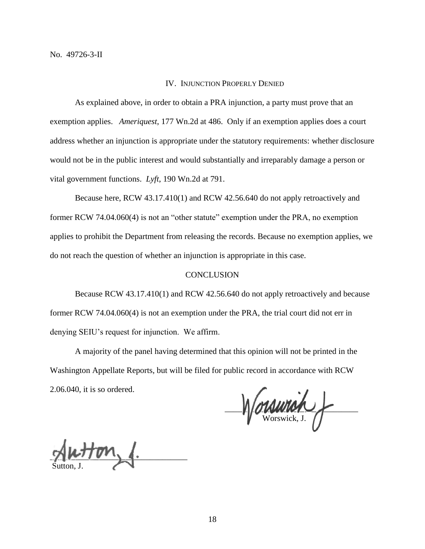#### IV. INJUNCTION PROPERLY DENIED

As explained above, in order to obtain a PRA injunction, a party must prove that an exemption applies. *Ameriquest*, 177 Wn.2d at 486. Only if an exemption applies does a court address whether an injunction is appropriate under the statutory requirements: whether disclosure would not be in the public interest and would substantially and irreparably damage a person or vital government functions. *Lyft*, 190 Wn.2d at 791.

Because here, RCW 43.17.410(1) and RCW 42.56.640 do not apply retroactively and former RCW 74.04.060(4) is not an "other statute" exemption under the PRA, no exemption applies to prohibit the Department from releasing the records. Because no exemption applies, we do not reach the question of whether an injunction is appropriate in this case.

#### **CONCLUSION**

Because RCW 43.17.410(1) and RCW 42.56.640 do not apply retroactively and because former RCW 74.04.060(4) is not an exemption under the PRA, the trial court did not err in denying SEIU's request for injunction. We affirm.

A majority of the panel having determined that this opinion will not be printed in the Washington Appellate Reports, but will be filed for public record in accordance with RCW 2.06.040, it is so ordered.

 $\Box$ Worswick, J.

 $\mathcal{L}$ Sutton, J.